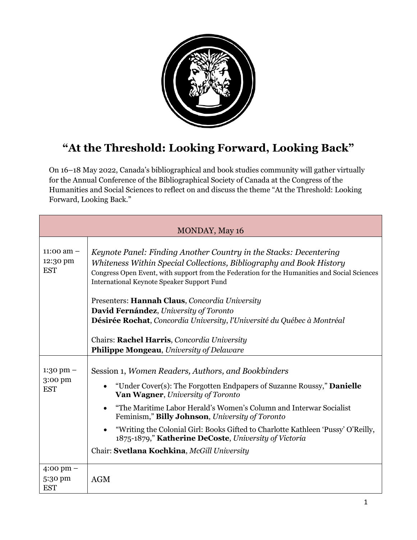

## **"At the Threshold: Looking Forward, Looking Back"**

On 16–18 May 2022, Canada's bibliographical and book studies community will gather virtually for the Annual Conference of the Bibliographical Society of Canada at the Congress of the Humanities and Social Sciences to reflect on and discuss the theme "At the Threshold: Looking Forward, Looking Back."

| <b>MONDAY, May 16</b>                  |                                                                                                                                                                                                                                                                                                                                                                                                                                                                                                                                       |  |
|----------------------------------------|---------------------------------------------------------------------------------------------------------------------------------------------------------------------------------------------------------------------------------------------------------------------------------------------------------------------------------------------------------------------------------------------------------------------------------------------------------------------------------------------------------------------------------------|--|
| 11:00 am $-$<br>12:30 pm<br><b>EST</b> | Keynote Panel: Finding Another Country in the Stacks: Decentering<br>Whiteness Within Special Collections, Bibliography and Book History<br>Congress Open Event, with support from the Federation for the Humanities and Social Sciences<br><b>International Keynote Speaker Support Fund</b><br>Presenters: Hannah Claus, Concordia University<br>David Fernández, University of Toronto                                                                                                                                             |  |
|                                        | Désirée Rochat, Concordia University, l'Université du Québec à Montréal                                                                                                                                                                                                                                                                                                                                                                                                                                                               |  |
|                                        | Chairs: Rachel Harris, Concordia University<br>Philippe Mongeau, University of Delaware                                                                                                                                                                                                                                                                                                                                                                                                                                               |  |
| $1:30$ pm $-$<br>3:00 pm<br><b>EST</b> | Session 1, Women Readers, Authors, and Bookbinders<br>"Under Cover(s): The Forgotten Endpapers of Suzanne Roussy," <b>Danielle</b><br>$\bullet$<br>Van Wagner, University of Toronto<br>"The Maritime Labor Herald's Women's Column and Interwar Socialist<br>$\bullet$<br>Feminism," <b>Billy Johnson</b> , <i>University of Toronto</i><br>"Writing the Colonial Girl: Books Gifted to Charlotte Kathleen 'Pussy' O'Reilly,<br>1875-1879," Katherine DeCoste, University of Victoria<br>Chair: Svetlana Kochkina, McGill University |  |
| 4:00 pm $-$<br>5:30 pm<br><b>EST</b>   | <b>AGM</b>                                                                                                                                                                                                                                                                                                                                                                                                                                                                                                                            |  |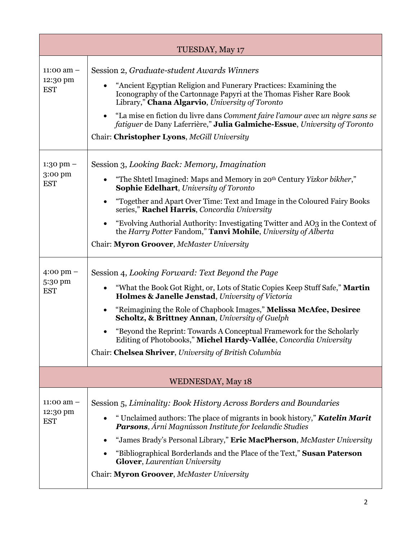| TUESDAY, May 17                              |                                                                                                                                                                                                                                                                                                                                                                                                                                                                                                                                                            |  |
|----------------------------------------------|------------------------------------------------------------------------------------------------------------------------------------------------------------------------------------------------------------------------------------------------------------------------------------------------------------------------------------------------------------------------------------------------------------------------------------------------------------------------------------------------------------------------------------------------------------|--|
| 11:00 am $-$<br>12:30 pm<br><b>EST</b>       | Session 2, Graduate-student Awards Winners<br>"Ancient Egyptian Religion and Funerary Practices: Examining the<br>Iconography of the Cartonnage Papyri at the Thomas Fisher Rare Book<br>Library," <b>Chana Algarvio</b> , University of Toronto<br>"La mise en fiction du livre dans Comment faire l'amour avec un nègre sans se<br>$\bullet$<br>fatiguer de Dany Laferrière," Julia Galmiche-Essue, University of Toronto<br>Chair: Christopher Lyons, McGill University                                                                                 |  |
| $1:30$ pm $-$<br>3:00 pm<br><b>EST</b>       | Session 3, Looking Back: Memory, Imagination<br>"The Shtetl Imagined: Maps and Memory in 20 <sup>th</sup> Century Yizkor bikher,"<br>$\bullet$<br><b>Sophie Edelhart, University of Toronto</b><br>"Together and Apart Over Time: Text and Image in the Coloured Fairy Books<br>٠<br>series," Rachel Harris, Concordia University<br>"Evolving Authorial Authority: Investigating Twitter and AO3 in the Context of<br>$\bullet$<br>the Harry Potter Fandom," Tanvi Mohile, University of Alberta<br>Chair: Myron Groover, McMaster University             |  |
| $4:00 \text{ pm} -$<br>5:30 pm<br><b>EST</b> | Session 4, Looking Forward: Text Beyond the Page<br>"What the Book Got Right, or, Lots of Static Copies Keep Stuff Safe," Martin<br>$\bullet$<br>Holmes & Janelle Jenstad, University of Victoria<br>"Reimagining the Role of Chapbook Images," Melissa McAfee, Desiree<br>$\bullet$<br><b>Scholtz, &amp; Brittney Annan, University of Guelph</b><br>"Beyond the Reprint: Towards A Conceptual Framework for the Scholarly<br>Editing of Photobooks," Michel Hardy-Vallée, Concordia University<br>Chair: Chelsea Shriver, University of British Columbia |  |
| <b>WEDNESDAY, May 18</b>                     |                                                                                                                                                                                                                                                                                                                                                                                                                                                                                                                                                            |  |
| 11:00 am $-$<br>12:30 pm<br><b>EST</b>       | Session 5, Liminality: Book History Across Borders and Boundaries<br>" Unclaimed authors: The place of migrants in book history," <b>Katelin Marit</b><br><b>Parsons</b> , Árni Magnússon Institute for Icelandic Studies<br>"James Brady's Personal Library," Eric MacPherson, McMaster University<br>"Bibliographical Borderlands and the Place of the Text," Susan Paterson<br><b>Glover, Laurentian University</b><br>Chair: Myron Groover, McMaster University                                                                                        |  |